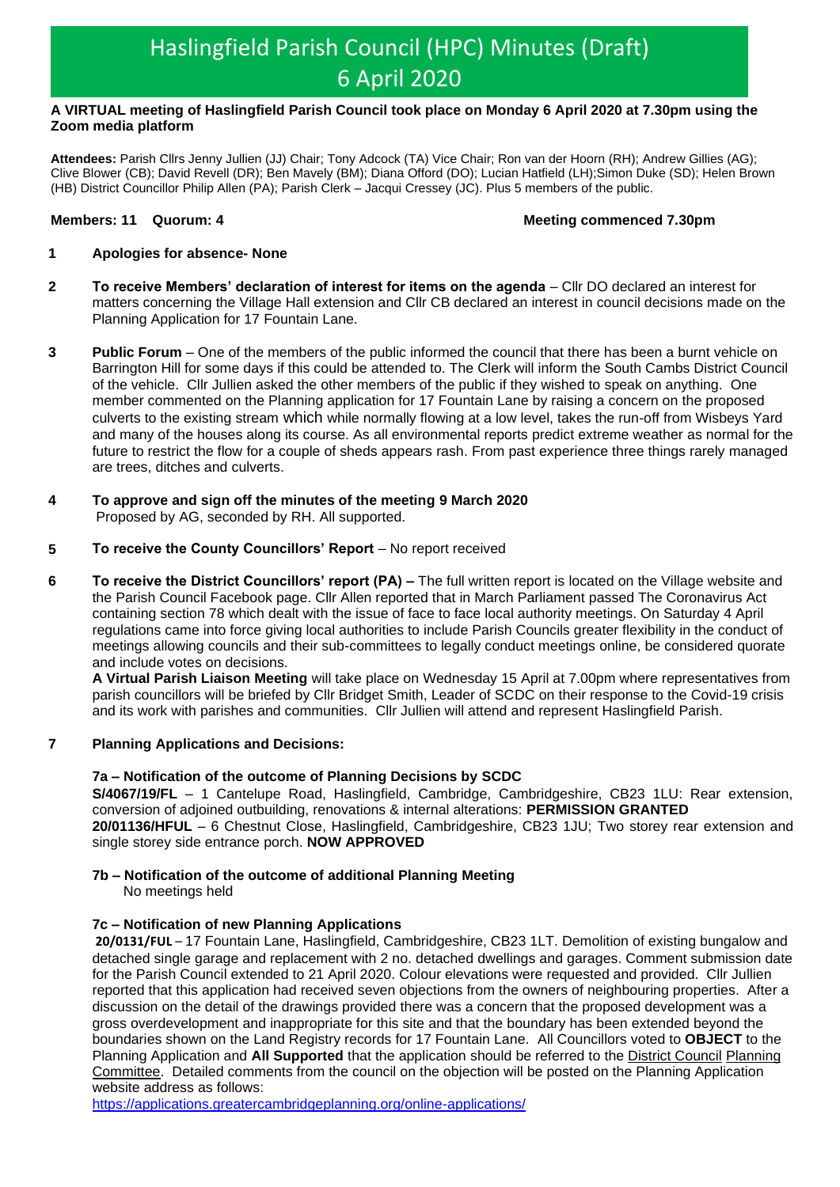# **Franch 2020** Haslingfield Parish Council (HPC) Minutes (Draft) 6 April 2020 6 April 2020

#### **A VIRTUAL meeting of Haslingfield Parish Council took place on Monday 6 April 2020 at 7.30pm using the Zoom media platform**

**Attendees:** Parish Cllrs Jenny Jullien (JJ) Chair; Tony Adcock (TA) Vice Chair; Ron van der Hoorn (RH); Andrew Gillies (AG); Clive Blower (CB); David Revell (DR); Ben Mavely (BM); Diana Offord (DO); Lucian Hatfield (LH);Simon Duke (SD); Helen Brown (HB) District Councillor Philip Allen (PA); Parish Clerk – Jacqui Cressey (JC). Plus 5 members of the public.

#### **Members: 11 Quorum: 4 Meeting commenced 7.30pm**

#### **1 Apologies for absence- None**

- **2 To receive Members' declaration of interest for items on the agenda** Cllr DO declared an interest for matters concerning the Village Hall extension and Cllr CB declared an interest in council decisions made on the Planning Application for 17 Fountain Lane.
- **3 Public Forum** One of the members of the public informed the council that there has been a burnt vehicle on Barrington Hill for some days if this could be attended to. The Clerk will inform the South Cambs District Council of the vehicle. Cllr Jullien asked the other members of the public if they wished to speak on anything. One member commented on the Planning application for 17 Fountain Lane by raising a concern on the proposed culverts to the existing stream which while normally flowing at a low level, takes the run-off from Wisbeys Yard and many of the houses along its course. As all environmental reports predict extreme weather as normal for the future to restrict the flow for a couple of sheds appears rash. From past experience three things rarely managed are trees, ditches and culverts.
- **4 To approve and sign off the minutes of the meeting 9 March 2020** Proposed by AG, seconded by RH. All supported.
- **5 To receive the County Councillors' Report** No report received
- **6 To receive the District Councillors' report (PA) –** The full written report is located on the Village website and the Parish Council Facebook page. Cllr Allen reported that in March Parliament passed The Coronavirus Act containing section 78 which dealt with the issue of face to face local authority meetings. On Saturday 4 April regulations came into force giving local authorities to include Parish Councils greater flexibility in the conduct of meetings allowing councils and their sub-committees to legally conduct meetings online, be considered quorate and include votes on decisions.

**A Virtual Parish Liaison Meeting** will take place on Wednesday 15 April at 7.00pm where representatives from parish councillors will be briefed by Cllr Bridget Smith, Leader of SCDC on their response to the Covid-19 crisis and its work with parishes and communities. Cllr Jullien will attend and represent Haslingfield Parish.

#### **7 Planning Applications and Decisions:**

#### **7a – Notification of the outcome of Planning Decisions by SCDC**

**S/4067/19/FL** – 1 Cantelupe Road, Haslingfield, Cambridge, Cambridgeshire, CB23 1LU: Rear extension, conversion of adjoined outbuilding, renovations & internal alterations: **PERMISSION GRANTED 20/01136/HFUL** – 6 Chestnut Close, Haslingfield, Cambridgeshire, CB23 1JU; Two storey rear extension and single storey side entrance porch. **NOW APPROVED**

## **7b – Notification of the outcome of additional Planning Meeting**

No meetings held

#### **7c – Notification of new Planning Applications**

**20/0131/FUL** – 17 Fountain Lane, Haslingfield, Cambridgeshire, CB23 1LT. Demolition of existing bungalow and detached single garage and replacement with 2 no. detached dwellings and garages. Comment submission date for the Parish Council extended to 21 April 2020. Colour elevations were requested and provided. Cllr Jullien reported that this application had received seven objections from the owners of neighbouring properties. After a discussion on the detail of the drawings provided there was a concern that the proposed development was a gross overdevelopment and inappropriate for this site and that the boundary has been extended beyond the boundaries shown on the Land Registry records for 17 Fountain Lane. All Councillors voted to **OBJECT** to the Planning Application and **All Supported** that the application should be referred to the District Council Planning Committee. Detailed comments from the council on the objection will be posted on the Planning Application website address as follows:

<https://applications.greatercambridgeplanning.org/online-applications/>